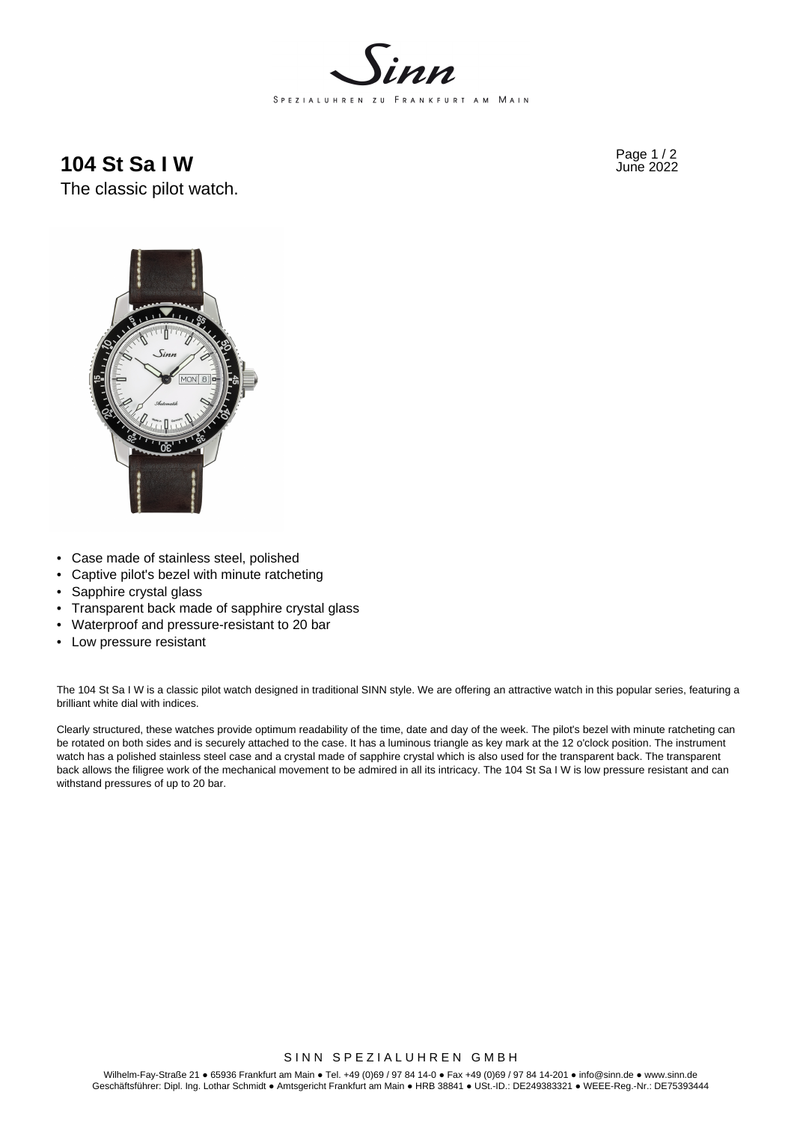

**104 St Sa I W** Page 1/2





- Case made of stainless steel, polished
- Captive pilot's bezel with minute ratcheting
- Sapphire crystal glass
- Transparent back made of sapphire crystal glass
- Waterproof and pressure-resistant to 20 bar
- Low pressure resistant

The 104 St Sa I W is a classic pilot watch designed in traditional SINN style. We are offering an attractive watch in this popular series, featuring a brilliant white dial with indices.

Clearly structured, these watches provide optimum readability of the time, date and day of the week. The pilot's bezel with minute ratcheting can be rotated on both sides and is securely attached to the case. It has a luminous triangle as key mark at the 12 o'clock position. The instrument watch has a polished stainless steel case and a crystal made of sapphire crystal which is also used for the transparent back. The transparent back allows the filigree work of the mechanical movement to be admired in all its intricacy. The 104 St Sa I W is low pressure resistant and can withstand pressures of up to 20 bar.